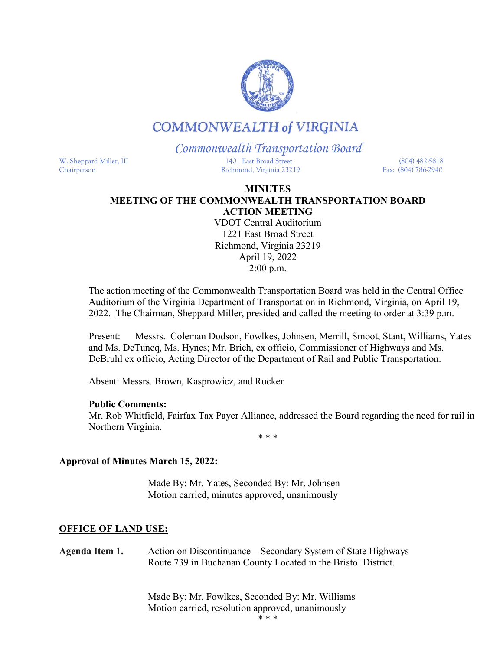

# **COMMONWEALTH of VIRGINIA**

## *Commonwealth Transportation Board*

W. Sheppard Miller, III 1401 East Broad Street (804) 482-5818 Chairperson Richmond, Virginia 23219 Fax: (804) 786-2940

### **MINUTES MEETING OF THE COMMONWEALTH TRANSPORTATION BOARD ACTION MEETING**

VDOT Central Auditorium 1221 East Broad Street Richmond, Virginia 23219 April 19, 2022 2:00 p.m.

The action meeting of the Commonwealth Transportation Board was held in the Central Office Auditorium of the Virginia Department of Transportation in Richmond, Virginia, on April 19, 2022. The Chairman, Sheppard Miller, presided and called the meeting to order at 3:39 p.m.

Present: Messrs. Coleman Dodson, Fowlkes, Johnsen, Merrill, Smoot, Stant, Williams, Yates and Ms. DeTuncq, Ms. Hynes; Mr. Brich, ex officio, Commissioner of Highways and Ms. DeBruhl ex officio, Acting Director of the Department of Rail and Public Transportation.

Absent: Messrs. Brown, Kasprowicz, and Rucker

#### **Public Comments:**

Mr. Rob Whitfield, Fairfax Tax Payer Alliance, addressed the Board regarding the need for rail in Northern Virginia.

\* \* \*

### **Approval of Minutes March 15, 2022:**

Made By: Mr. Yates, Seconded By: Mr. Johnsen Motion carried, minutes approved, unanimously

### **OFFICE OF LAND USE:**

**Agenda Item 1.** Action on Discontinuance – Secondary System of State Highways Route 739 in Buchanan County Located in the Bristol District.

> Made By: Mr. Fowlkes, Seconded By: Mr. Williams Motion carried, resolution approved, unanimously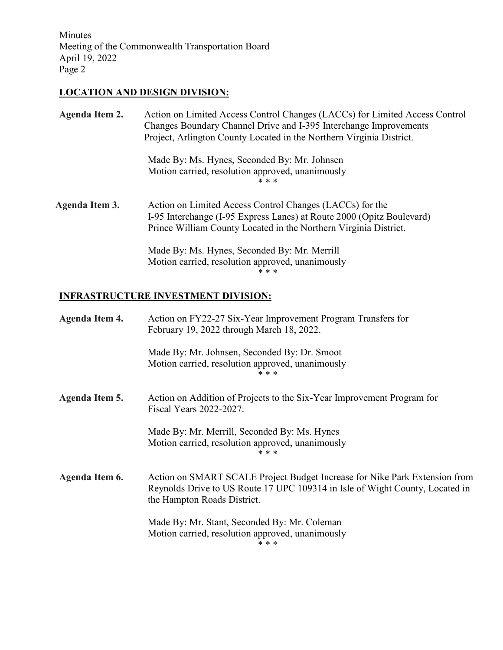Minutes Meeting of the Commonwealth Transportation Board April 19, 2022 Page 2

## **LOCATION AND DESIGN DIVISION:**

| Agenda Item 2.        | Action on Limited Access Control Changes (LACCs) for Limited Access Control<br>Changes Boundary Channel Drive and I-395 Interchange Improvements<br>Project, Arlington County Located in the Northern Virginia District. |
|-----------------------|--------------------------------------------------------------------------------------------------------------------------------------------------------------------------------------------------------------------------|
|                       | Made By: Ms. Hynes, Seconded By: Mr. Johnsen<br>Motion carried, resolution approved, unanimously<br>* * *                                                                                                                |
| <b>Agenda Item 3.</b> | Action on Limited Access Control Changes (LACCs) for the<br>I-95 Interchange (I-95 Express Lanes) at Route 2000 (Opitz Boulevard)<br>Prince William County Located in the Northern Virginia District.                    |
|                       | Made By: Ms. Hynes, Seconded By: Mr. Merrill<br>Motion carried, resolution approved, unanimously<br>* * *                                                                                                                |

## **INFRASTRUCTURE INVESTMENT DIVISION:**

| Agenda Item 4. | Action on FY22-27 Six-Year Improvement Program Transfers for<br>February 19, 2022 through March 18, 2022.                                                                                 |
|----------------|-------------------------------------------------------------------------------------------------------------------------------------------------------------------------------------------|
|                | Made By: Mr. Johnsen, Seconded By: Dr. Smoot<br>Motion carried, resolution approved, unanimously<br>* * *                                                                                 |
| Agenda Item 5. | Action on Addition of Projects to the Six-Year Improvement Program for<br>Fiscal Years 2022-2027.                                                                                         |
|                | Made By: Mr. Merrill, Seconded By: Ms. Hynes<br>Motion carried, resolution approved, unanimously<br>* * *                                                                                 |
| Agenda Item 6. | Action on SMART SCALE Project Budget Increase for Nike Park Extension from<br>Reynolds Drive to US Route 17 UPC 109314 in Isle of Wight County, Located in<br>the Hampton Roads District. |
|                | Made By: Mr. Stant, Seconded By: Mr. Coleman<br>Motion carried, resolution approved, unanimously<br>* * *                                                                                 |